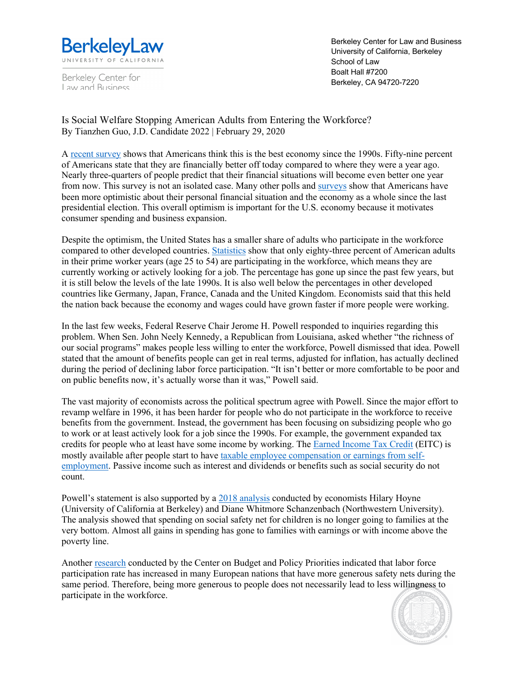

Berkeley Center for Law and Business

Berkeley Center for Law and Business University of California, Berkeley School of Law Boalt Hall #7200 Berkeley, CA 94720-7220

Is Social Welfare Stopping American Adults from Entering the Workforce? By Tianzhen Guo, J.D. Candidate 2022 | February 29, 2020

A recent survey shows that Americans think this is the best economy since the 1990s. Fifty-nine percent of Americans state that they are financially better off today compared to where they were a year ago. Nearly three-quarters of people predict that their financial situations will become even better one year from now. This survey is not an isolated case. Many other polls and surveys show that Americans have been more optimistic about their personal financial situation and the economy as a whole since the last presidential election. This overall optimism is important for the U.S. economy because it motivates consumer spending and business expansion.

Despite the optimism, the United States has a smaller share of adults who participate in the workforce compared to other developed countries. Statistics show that only eighty-three percent of American adults in their prime worker years (age 25 to 54) are participating in the workforce, which means they are currently working or actively looking for a job. The percentage has gone up since the past few years, but it is still below the levels of the late 1990s. It is also well below the percentages in other developed countries like Germany, Japan, France, Canada and the United Kingdom. Economists said that this held the nation back because the economy and wages could have grown faster if more people were working.

In the last few weeks, Federal Reserve Chair Jerome H. Powell responded to inquiries regarding this problem. When Sen. John Neely Kennedy, a Republican from Louisiana, asked whether "the richness of our social programs" makes people less willing to enter the workforce, Powell dismissed that idea. Powell stated that the amount of benefits people can get in real terms, adjusted for inflation, has actually declined during the period of declining labor force participation. "It isn't better or more comfortable to be poor and on public benefits now, it's actually worse than it was," Powell said.

The vast majority of economists across the political spectrum agree with Powell. Since the major effort to revamp welfare in 1996, it has been harder for people who do not participate in the workforce to receive benefits from the government. Instead, the government has been focusing on subsidizing people who go to work or at least actively look for a job since the 1990s. For example, the government expanded tax credits for people who at least have some income by working. The Earned Income Tax Credit (EITC) is mostly available after people start to have taxable employee compensation or earnings from selfemployment. Passive income such as interest and dividends or benefits such as social security do not count.

Powell's statement is also supported by a 2018 analysis conducted by economists Hilary Hoyne (University of California at Berkeley) and Diane Whitmore Schanzenbach (Northwestern University). The analysis showed that spending on social safety net for children is no longer going to families at the very bottom. Almost all gains in spending has gone to families with earnings or with income above the poverty line.

Another research conducted by the Center on Budget and Policy Priorities indicated that labor force participation rate has increased in many European nations that have more generous safety nets during the same period. Therefore, being more generous to people does not necessarily lead to less willingness to participate in the workforce.